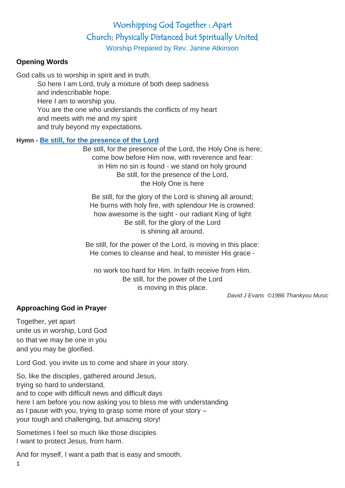# Worshipping God Together : Apart Church; Physically Distanced but Spiritually United Worship Prepared by Rev. Janine Atkinson

#### **Opening Words**

God calls us to worship in spirit and in truth.

So here I am Lord, truly a mixture of both deep sadness and indescribable hope. Here I am to worship you. You are the one who understands the conflicts of my heart and meets with me and my spirit and truly beyond my expectations.

#### **Hymn - Be still, [for the presence of the Lord](Be%20still,%20for%20the%20presence%20of%20the%20Lord)**

Be still, for the presence of the Lord, the Holy One is here; come bow before Him now, with reverence and fear: in Him no sin is found - we stand on holy ground Be still, for the presence of the Lord, the Holy One is here

Be still, for the glory of the Lord is shining all around; He burns with holy fire, with splendour He is crowned: how awesome is the sight - our radiant King of light Be still, for the glory of the Lord is shining all around.

Be still, for the power of the Lord, is moving in this place: He comes to cleanse and heal, to minister His grace -

no work too hard for Him. In faith receive from Him. Be still, for the power of the Lord is moving in this place.

*David J Evans ©1986 Thankyou Music*

### **Approaching God in Prayer**

Together, yet apart unite us in worship, Lord God so that we may be one in you and you may be glorified.

Lord God, you invite us to come and share in your story.

So, like the disciples, gathered around Jesus, trying so hard to understand, and to cope with difficult news and difficult days here I am before you now asking you to bless me with understanding as I pause with you, trying to grasp some more of your story – your tough and challenging, but amazing story!

Sometimes I feel so much like those disciples I want to protect Jesus, from harm.

And for myself, I want a path that is easy and smooth.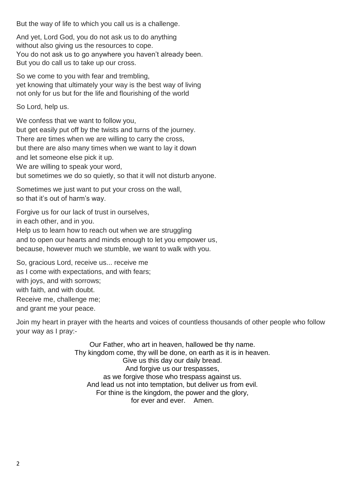But the way of life to which you call us is a challenge.

And yet, Lord God, you do not ask us to do anything without also giving us the resources to cope. You do not ask us to go anywhere you haven't already been. But you do call us to take up our cross.

So we come to you with fear and trembling, yet knowing that ultimately your way is the best way of living not only for us but for the life and flourishing of the world

So Lord, help us.

We confess that we want to follow you, but get easily put off by the twists and turns of the journey. There are times when we are willing to carry the cross, but there are also many times when we want to lay it down and let someone else pick it up. We are willing to speak your word, but sometimes we do so quietly, so that it will not disturb anyone. Sometimes we just want to put your cross on the wall,

so that it's out of harm's way.

Forgive us for our lack of trust in ourselves, in each other, and in you. Help us to learn how to reach out when we are struggling and to open our hearts and minds enough to let you empower us, because, however much we stumble, we want to walk with you.

So, gracious Lord, receive us... receive me as I come with expectations, and with fears; with joys, and with sorrows; with faith, and with doubt. Receive me, challenge me; and grant me your peace.

Join my heart in prayer with the hearts and voices of countless thousands of other people who follow your way as I pray:-

> Our Father, who art in heaven, hallowed be thy name. Thy kingdom come, thy will be done, on earth as it is in heaven. Give us this day our daily bread. And forgive us our trespasses, as we forgive those who trespass against us. And lead us not into temptation, but deliver us from evil. For thine is the kingdom, the power and the glory, for ever and ever. Amen.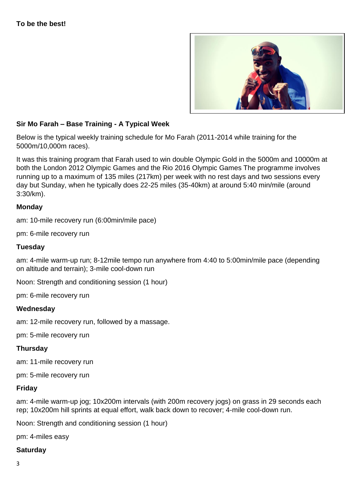

## **Sir Mo Farah – Base Training - A Typical Week**

Below is the typical weekly training schedule for Mo Farah (2011-2014 while training for the 5000m/10,000m races).

It was this training program that Farah used to win double Olympic Gold in the 5000m and 10000m at both the London 2012 Olympic Games and the Rio 2016 Olympic Games The programme involves running up to a maximum of 135 miles (217km) per week with no rest days and two sessions every day but Sunday, when he typically does 22-25 miles (35-40km) at around 5:40 min/mile (around 3:30/km).

#### **Monday**

am: 10-mile recovery run (6:00min/mile pace)

pm: 6-mile recovery run

#### **Tuesday**

am: 4-mile warm-up run; 8-12mile tempo run anywhere from 4:40 to 5:00min/mile pace (depending on altitude and terrain); 3-mile cool-down run

Noon: Strength and conditioning session (1 hour)

pm: 6-mile recovery run

#### **Wednesday**

am: 12-mile recovery run, followed by a massage.

pm: 5-mile recovery run

#### **Thursday**

am: 11-mile recovery run

pm: 5-mile recovery run

#### **Friday**

am: 4-mile warm-up jog; 10x200m intervals (with 200m recovery jogs) on grass in 29 seconds each rep; 10x200m hill sprints at equal effort, walk back down to recover; 4-mile cool-down run.

Noon: Strength and conditioning session (1 hour)

pm: 4-miles easy

#### **Saturday**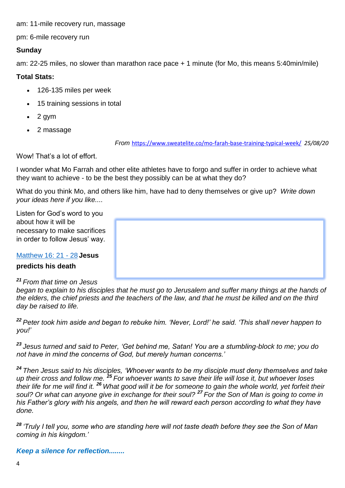am: 11-mile recovery run, massage

pm: 6-mile recovery run

### **Sunday**

am: 22-25 miles, no slower than marathon race pace + 1 minute (for Mo, this means 5:40min/mile)

### **Total Stats:**

- 126-135 miles per week
- 15 training sessions in total
- $\cdot$  2 gym
- 2 massage

*From* <https://www.sweatelite.co/mo-farah-base-training-typical-week/>*25/08/20*

Wow! That's a lot of effort.

I wonder what Mo Farrah and other elite athletes have to forgo and suffer in order to achieve what they want to achieve - to be the best they possibly can be at what they do?

What do you think Mo, and others like him, have had to deny themselves or give up? *Write down your ideas here if you like....*

Listen for God's word to you about how it will be necessary to make sacrifices in order to follow Jesus' way.

#### [Matthew 16: 21 -](https://www.biblegateway.com/passage/?search=Matthew+16%3A+21+-+28&version=NIV) 28 **Jesus**

#### **predicts his death**

### *<sup>21</sup> From that time on Jesus*

*began to explain to his disciples that he must go to Jerusalem and suffer many things at the hands of the elders, the chief priests and the teachers of the law, and that he must be killed and on the third day be raised to life.*

*<sup>22</sup> Peter took him aside and began to rebuke him. 'Never, Lord!' he said. 'This shall never happen to you!'*

*<sup>23</sup> Jesus turned and said to Peter, 'Get behind me, Satan! You are a stumbling-block to me; you do not have in mind the concerns of God, but merely human concerns.'*

*<sup>24</sup> Then Jesus said to his disciples, 'Whoever wants to be my disciple must deny themselves and take up their cross and follow me. <sup>25</sup> For whoever wants to save their life will lose it, but whoever loses their life for me will find it. <sup>26</sup> What good will it be for someone to gain the whole world, yet forfeit their soul? Or what can anyone give in exchange for their soul? <sup>27</sup> For the Son of Man is going to come in his Father's glory with his angels, and then he will reward each person according to what they have done.*

*<sup>28</sup> 'Truly I tell you, some who are standing here will not taste death before they see the Son of Man coming in his kingdom.'*

*Keep a silence for reflection........*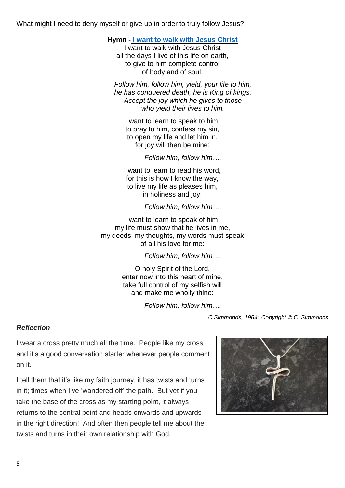What might I need to deny myself or give up in order to truly follow Jesus?

#### **Hymn - I want to walk with Jesus [Christ](https://www.youtube.com/watch?v=nB9tJGdIMwQ)**

I want to walk with Jesus Christ all the days I live of this life on earth, to give to him complete control of body and of soul:

*Follow him, follow him, yield, your life to him, he has conquered death, he is King of kings. Accept the joy which he gives to those who yield their lives to him.*

I want to learn to speak to him, to pray to him, confess my sin, to open my life and let him in, for joy will then be mine:

*Follow him, follow him….*

I want to learn to read his word, for this is how I know the way, to live my life as pleases him, in holiness and joy:

*Follow him, follow him….*

I want to learn to speak of him; my life must show that he lives in me, my deeds, my thoughts, my words must speak of all his love for me:

*Follow him, follow him….*

O holy Spirit of the Lord, enter now into this heart of mine, take full control of my selfish will and make me wholly thine:

*Follow him, follow him….*

*C Simmonds, 1964\* Copyright © C. Simmonds*

#### *Reflection*

I wear a cross pretty much all the time. People like my cross and it's a good conversation starter whenever people comment on it.

I tell them that it's like my faith journey, it has twists and turns in it; times when I've 'wandered off' the path. But yet if you take the base of the cross as my starting point, it always returns to the central point and heads onwards and upwards in the right direction! And often then people tell me about the twists and turns in their own relationship with God.

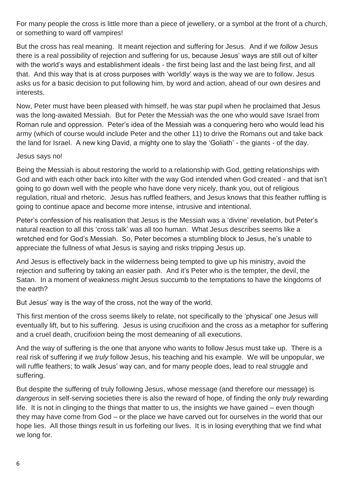For many people the cross is little more than a piece of jewellery, or a symbol at the front of a church, or something to ward off vampires!

But the cross has real meaning. It meant rejection and suffering for Jesus. And if we *follow* Jesus there is a real possibility of rejection and suffering for us, because Jesus' ways are still out of kilter with the world's ways and establishment ideals - the first being last and the last being first, and all that. And this way that is at cross purposes with 'worldly' ways is the way we are to follow. Jesus asks us for a basic decision to put following him, by word and action, ahead of our own desires and interests.

Now, Peter must have been pleased with himself, he was star pupil when he proclaimed that Jesus was the long-awaited Messiah. But for Peter the Messiah was the one who would save Israel from Roman rule and oppression. Peter's idea of the Messiah was a conquering hero who would lead his army (which of course would include Peter and the other 11) to drive the Romans out and take back the land for Israel. A new king David, a mighty one to slay the 'Goliath' - the giants - of the day.

### Jesus says no!

Being the Messiah is about restoring the world to a relationship with God, getting relationships with God and with each other back into kilter with the way God intended when God created - and that isn't going to go down well with the people who have done very nicely, thank you, out of religious regulation, ritual and rhetoric. Jesus has ruffled feathers, and Jesus knows that this feather ruffling is going to continue apace and become more intense, intrusive and intentional.

Peter's confession of his realisation that Jesus is the Messiah was a 'divine' revelation, but Peter's natural reaction to all this 'cross talk' was all too human. What Jesus describes seems like a wretched end for God's Messiah. So, Peter becomes a stumbling block to Jesus, he's unable to appreciate the fullness of what Jesus is saying and risks tripping Jesus up.

And Jesus is effectively back in the wilderness being tempted to give up his ministry, avoid the rejection and suffering by taking an easier path. And it's Peter who is the tempter, the devil, the Satan. In a moment of weakness might Jesus succumb to the temptations to have the kingdoms of the earth?

But Jesus' way is the way of the cross, not the way of the world.

This first mention of the cross seems likely to relate, not specifically to the 'physical' one Jesus will eventually lift, but to his suffering. Jesus is using crucifixion and the cross as a metaphor for suffering and a cruel death, crucifixion being the most demeaning of all executions.

And the way of suffering is the one that anyone who wants to follow Jesus must take up. There is a real risk of suffering if we *truly* follow Jesus, his teaching and his example. We will be unpopular, we will ruffle feathers; to walk Jesus' way can, and for many people does, lead to real struggle and suffering.

But despite the suffering of truly following Jesus, whose message (and therefore our message) is *dangerous* in self-serving societies there is also the reward of hope, of finding the only *truly* rewarding life. It is not in clinging to the things that matter to us, the insights we have gained – even though they may have come from God – or the place we have carved out for ourselves in the world that our hope lies. All those things result in us forfeiting our lives. It is in losing everything that we find what we long for.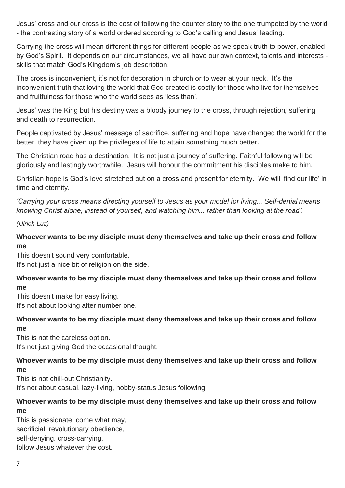Jesus' cross and our cross is the cost of following the counter story to the one trumpeted by the world - the contrasting story of a world ordered according to God's calling and Jesus' leading.

Carrying the cross will mean different things for different people as we speak truth to power, enabled by God's Spirit. It depends on our circumstances, we all have our own context, talents and interests skills that match God's Kingdom's job description.

The cross is inconvenient, it's not for decoration in church or to wear at your neck. It's the inconvenient truth that loving the world that God created is costly for those who live for themselves and fruitfulness for those who the world sees as 'less than'.

Jesus' was the King but his destiny was a bloody journey to the cross, through rejection, suffering and death to resurrection.

People captivated by Jesus' message of sacrifice, suffering and hope have changed the world for the better, they have given up the privileges of life to attain something much better.

The Christian road has a destination. It is not just a journey of suffering. Faithful following will be gloriously and lastingly worthwhile. Jesus will honour the commitment his disciples make to him.

Christian hope is God's love stretched out on a cross and present for eternity. We will 'find our life' in time and eternity.

*'Carrying your cross means directing yourself to Jesus as your model for living... Self-denial means knowing Christ alone, instead of yourself, and watching him... rather than looking at the road'.* 

# *(Ulrich Luz)*

# **Whoever wants to be my disciple must deny themselves and take up their cross and follow me**

This doesn't sound very comfortable. It's not just a nice bit of religion on the side.

### **Whoever wants to be my disciple must deny themselves and take up their cross and follow me**

This doesn't make for easy living. It's not about looking after number one.

## **Whoever wants to be my disciple must deny themselves and take up their cross and follow me**

This is not the careless option.

It's not just giving God the occasional thought.

# **Whoever wants to be my disciple must deny themselves and take up their cross and follow me**

This is not chill-out Christianity. It's not about casual, lazy-living, hobby-status Jesus following.

# **Whoever wants to be my disciple must deny themselves and take up their cross and follow me**

This is passionate, come what may, sacrificial, revolutionary obedience, self-denying, cross-carrying, follow Jesus whatever the cost.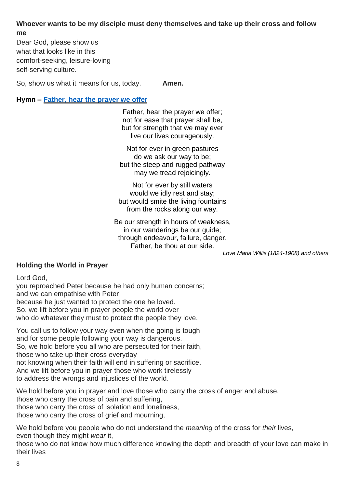# **Whoever wants to be my disciple must deny themselves and take up their cross and follow me**

Dear God, please show us what that looks like in this comfort-seeking, leisure-loving self-serving culture.

So, show us what it means for us, today. **Amen.**

### **Hymn – [Father,](https://www.youtube.com/watch?v=Qd_K44OAvAM) hear the prayer we offer**

Father, hear the prayer we offer; not for ease that prayer shall be, but for strength that we may ever live our lives courageously.

Not for ever in green pastures do we ask our way to be; but the steep and rugged pathway may we tread rejoicingly.

Not for ever by still waters would we idly rest and stay; but would smite the living fountains from the rocks along our way.

Be our strength in hours of weakness, in our wanderings be our guide; through endeavour, failure, danger, Father, be thou at our side.

*Love Maria Willis (1824-1908) and others*

#### **Holding the World in Prayer**

Lord God,

you reproached Peter because he had only human concerns; and we can empathise with Peter because he just wanted to protect the one he loved. So, we lift before you in prayer people the world over who do whatever they must to protect the people they love.

You call us to follow your way even when the going is tough and for some people following your way is dangerous. So, we hold before you all who are persecuted for their faith, those who take up their cross everyday not knowing when their faith will end in suffering or sacrifice. And we lift before you in prayer those who work tirelessly to address the wrongs and injustices of the world.

We hold before you in prayer and love those who carry the cross of anger and abuse, those who carry the cross of pain and suffering, those who carry the cross of isolation and loneliness, those who carry the cross of grief and mourning,

We hold before you people who do not understand the *meaning* of the cross for *their* lives, even though they might *wear* it,

those who do not know how much difference knowing the depth and breadth of your love can make in their lives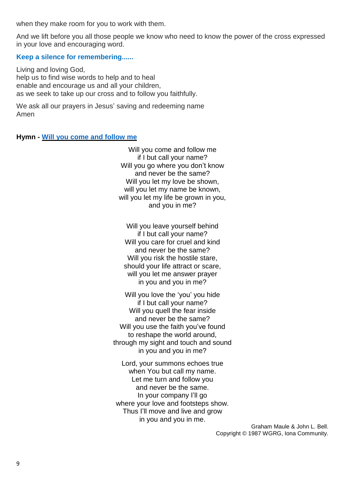when they make room for you to work with them.

And we lift before you all those people we know who need to know the power of the cross expressed in your love and encouraging word.

### **Keep a silence for remembering......**

Living and loving God, help us to find wise words to help and to heal enable and encourage us and all your children, as we seek to take up our cross and to follow you faithfully.

We ask all our prayers in Jesus' saving and redeeming name Amen

#### **Hymn - Will you come and [follow](https://www.youtube.com/watch?v=pnXOEUS7BBM&t=30s) me**

Will you come and follow me if I but call your name? Will you go where you don't know and never be the same? Will you let my love be shown. will you let my name be known, will you let my life be grown in you, and you in me?

Will you leave yourself behind if I but call your name? Will you care for cruel and kind and never be the same? Will you risk the hostile stare. should your life attract or scare, will you let me answer prayer in you and you in me?

Will you love the 'you' you hide if I but call your name? Will you quell the fear inside and never be the same? Will you use the faith you've found to reshape the world around, through my sight and touch and sound in you and you in me?

Lord, your summons echoes true when You but call my name. Let me turn and follow you and never be the same. In your company I'll go where your love and footsteps show. Thus I'll move and live and grow in you and you in me.

Graham Maule & John L. Bell. Copyright © 1987 WGRG, Iona Community.